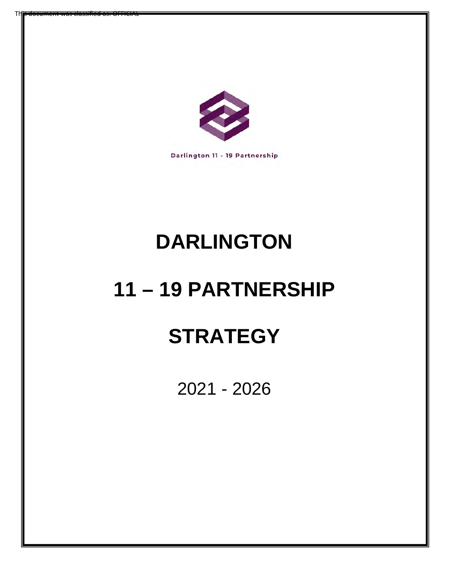

Th**is document was classified as: OFFICIAL** 

Darlington 11 - 19 Partnership

# **DARLINGTON**

# **11 – 19 PARTNERSHIP**

# **STRATEGY**

2021 - 2026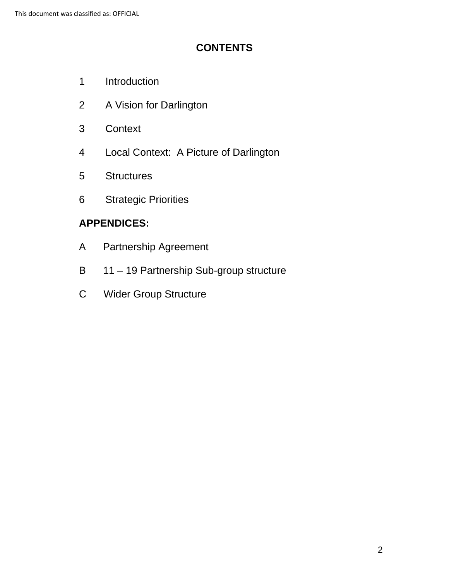## **CONTENTS**

- 1 Introduction
- 2 A Vision for Darlington
- 3 Context
- 4 Local Context: A Picture of Darlington
- 5 Structures
- 6 Strategic Priorities

# **APPENDICES:**

- $\overline{A}$ Partnership Agreement
- $\mathsf B$ 11 – 19 Partnership Sub-group structure
- $\mathsf{C}$ Wider Group Structure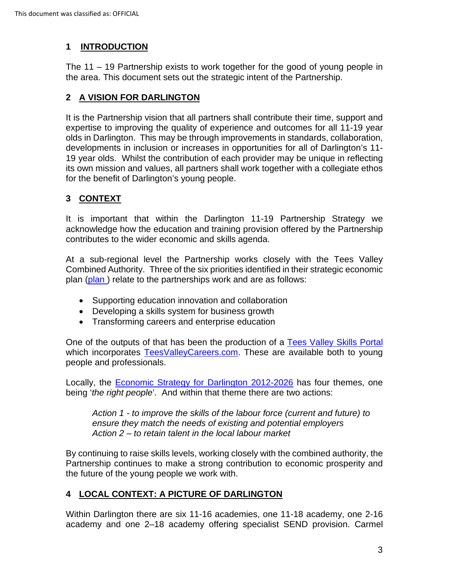### **1 INTRODUCTION**

The 11 – 19 Partnership exists to work together for the good of young people in the area. This document sets out the strategic intent of the Partnership.

#### **2 A VISION FOR DARLINGTON**

 expertise to improving the quality of experience and outcomes for all 11-19 year 19 year olds. Whilst the contribution of each provider may be unique in reflecting It is the Partnership vision that all partners shall contribute their time, support and olds in Darlington. This may be through improvements in standards, collaboration, developments in inclusion or increases in opportunities for all of Darlington's 11 its own mission and values, all partners shall work together with a collegiate ethos for the benefit of Darlington's young people.

### **3 CONTEXT**

 It is important that within the Darlington 11-19 Partnership Strategy we acknowledge how the education and training provision offered by the Partnership contributes to the wider economic and skills agenda.

 At a sub-regional level the Partnership works closely with the Tees Valley Combined Authority. Three of the six priorities identified in their strategic economic plan (plan) relate to the partnerships work and are as follows:

- Supporting education innovation and collaboration
- Developing a skills system for business growth
- Transforming careers and enterprise education

people and professionals. One of the outputs of that has been the production of a [Tees Valley Skills Portal](https://teesvalley-ca.gov.uk/teesvalleyskills/)  which incorporates [TeesValleyCareers.com.](https://www.teesvalleycareers.com/students/) These are available both to young

 being '*the right people*'. And within that theme there are two actions: Locally, the [Economic Strategy for Darlington 2012-2026](https://www.darlington.gov.uk/media/1021/economic_strategy_2012-2026.pdf) has four themes, one

 *Action 2 – to retain talent in the local labour market Action 1 - to improve the skills of the labour force (current and future) to ensure they match the needs of existing and potential employers* 

By continuing to raise skills levels, working closely with the combined authority, the Partnership continues to make a strong contribution to economic prosperity and the future of the young people we work with.

#### **4 LOCAL CONTEXT: A PICTURE OF DARLINGTON**

Within Darlington there are six 11-16 academies, one 11-18 academy, one 2-16 academy and one 2–18 academy offering specialist SEND provision. Carmel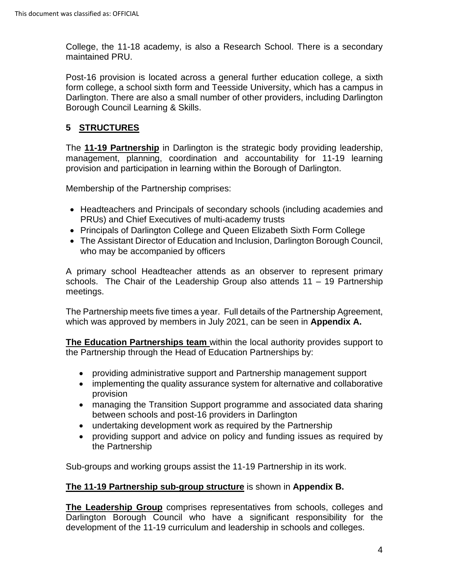College, the 11-18 academy, is also a Research School. There is a secondary maintained PRU.

 Post-16 provision is located across a general further education college, a sixth form college, a school sixth form and Teesside University, which has a campus in Darlington. There are also a small number of other providers, including Darlington Borough Council Learning & Skills.

### **5 STRUCTURES**

provision and participation in learning within the Borough of Darlington.<br>Membership of the Partnership comprises: The **11-19 Partnership** in Darlington is the strategic body providing leadership, management, planning, coordination and accountability for 11-19 learning

- Headteachers and Principals of secondary schools (including academies and PRUs) and Chief Executives of multi-academy trusts
- Principals of Darlington College and Queen Elizabeth Sixth Form College
- The Assistant Director of Education and Inclusion, Darlington Borough Council, who may be accompanied by officers

 schools. The Chair of the Leadership Group also attends 11 – 19 Partnership A primary school Headteacher attends as an observer to represent primary meetings.

 The Partnership meets five times a year. Full details of the Partnership Agreement, which was approved by members in July 2021, can be seen in **Appendix A.** 

 the Partnership through the Head of Education Partnerships by: **The Education Partnerships team** within the local authority provides support to

- providing administrative support and Partnership management support
- implementing the quality assurance system for alternative and collaborative provision
- managing the Transition Support programme and associated data sharing between schools and post-16 providers in Darlington
- undertaking development work as required by the Partnership
- providing support and advice on policy and funding issues as required by the Partnership

Sub-groups and working groups assist the 11-19 Partnership in its work.

#### **The 11-19 Partnership sub-group structure** is shown in **Appendix B.**

 **The Leadership Group** comprises representatives from schools, colleges and Darlington Borough Council who have a significant responsibility for the development of the 11-19 curriculum and leadership in schools and colleges.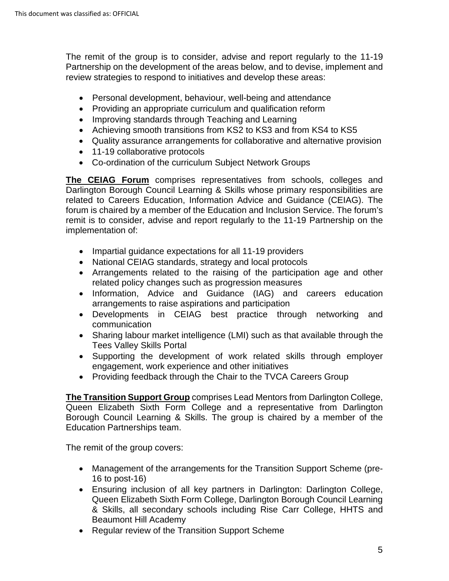Partnership on the development of the areas below, and to devise, implement and The remit of the group is to consider, advise and report regularly to the 11-19 review strategies to respond to initiatives and develop these areas:

- Personal development, behaviour, well-being and attendance
- Providing an appropriate curriculum and qualification reform
- Improving standards through Teaching and Learning
- Achieving smooth transitions from KS2 to KS3 and from KS4 to KS5
- Quality assurance arrangements for collaborative and alternative provision
- 11-19 collaborative protocols
- Co-ordination of the curriculum Subject Network Groups

**The CEIAG Forum** comprises representatives from schools, colleges and Darlington Borough Council Learning & Skills whose primary responsibilities are related to Careers Education, Information Advice and Guidance (CEIAG). The forum is chaired by a member of the Education and Inclusion Service. The forum's remit is to consider, advise and report regularly to the 11-19 Partnership on the implementation of:

- Impartial guidance expectations for all 11-19 providers
- National CEIAG standards, strategy and local protocols
- Arrangements related to the raising of the participation age and other related policy changes such as progression measures
- Information, Advice and Guidance (IAG) and careers education arrangements to raise aspirations and participation
- Developments in CEIAG best practice through networking and communication
- • Sharing labour market intelligence (LMI) such as that available through the Tees Valley Skills Portal
- Supporting the development of work related skills through employer engagement, work experience and other initiatives
- Providing feedback through the Chair to the TVCA Careers Group

 Education Partnerships team. **The Transition Support Group** comprises Lead Mentors from Darlington College, Queen Elizabeth Sixth Form College and a representative from Darlington Borough Council Learning & Skills. The group is chaired by a member of the

The remit of the group covers:

- • Management of the arrangements for the Transition Support Scheme (pre-16 to post-16)
- Ensuring inclusion of all key partners in Darlington: Darlington College, Queen Elizabeth Sixth Form College, Darlington Borough Council Learning & Skills, all secondary schools including Rise Carr College, HHTS and Beaumont Hill Academy
- Regular review of the Transition Support Scheme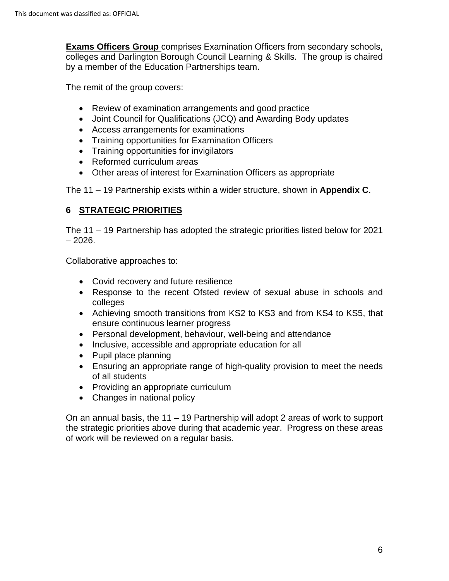**Exams Officers Group** comprises Examination Officers from secondary schools, colleges and Darlington Borough Council Learning & Skills. The group is chaired by a member of the Education Partnerships team.

The remit of the group covers:

- Review of examination arrangements and good practice
- Joint Council for Qualifications (JCQ) and Awarding Body updates
- Access arrangements for examinations
- Training opportunities for Examination Officers
- Training opportunities for invigilators
- Reformed curriculum areas
- Other areas of interest for Examination Officers as appropriate

The 11 – 19 Partnership exists within a wider structure, shown in **Appendix C**.

#### **6 STRATEGIC PRIORITIES**

 – 2026. The 11 – 19 Partnership has adopted the strategic priorities listed below for 2021

Collaborative approaches to:

- Covid recovery and future resilience
- Response to the recent Ofsted review of sexual abuse in schools and colleges
- Achieving smooth transitions from KS2 to KS3 and from KS4 to KS5, that ensure continuous learner progress
- Personal development, behaviour, well-being and attendance
- Inclusive, accessible and appropriate education for all
- Pupil place planning
- Ensuring an appropriate range of high-quality provision to meet the needs of all students
- Providing an appropriate curriculum
- Changes in national policy

 On an annual basis, the 11 – 19 Partnership will adopt 2 areas of work to support the strategic priorities above during that academic year. Progress on these areas of work will be reviewed on a regular basis.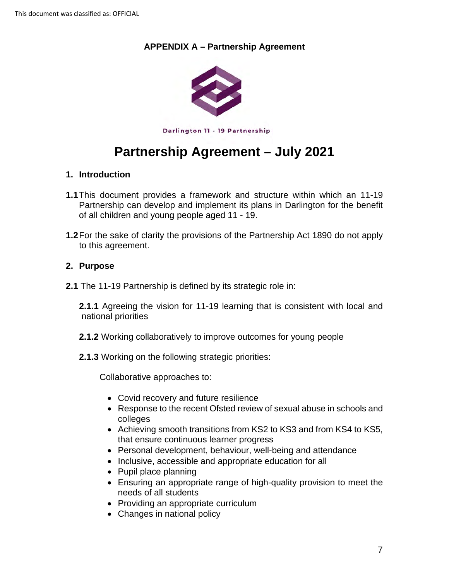#### **APPENDIX A – Partnership Agreement**



Darlington 11 - 19 Partnership

# **Partnership Agreement – July 2021**

#### **1. Introduction**

- of all children and young people aged 11 19. **1.1**This document provides a framework and structure within which an 11-19 Partnership can develop and implement its plans in Darlington for the benefit
- to this agreement. **1.2**For the sake of clarity the provisions of the Partnership Act 1890 do not apply

#### **2. Purpose**

**2.1** The 11-19 Partnership is defined by its strategic role in:

**2.1.1** Agreeing the vision for 11-19 learning that is consistent with local and national priorities

- **2.1.2** Working collaboratively to improve outcomes for young people
- **2.1.3** Working on the following strategic priorities:

Collaborative approaches to:

- Covid recovery and future resilience
- • Response to the recent Ofsted review of sexual abuse in schools and colleges
- Achieving smooth transitions from KS2 to KS3 and from KS4 to KS5, that ensure continuous learner progress
- Personal development, behaviour, well-being and attendance
- Inclusive, accessible and appropriate education for all
- Pupil place planning
- Ensuring an appropriate range of high-quality provision to meet the needs of all students
- Providing an appropriate curriculum
- Changes in national policy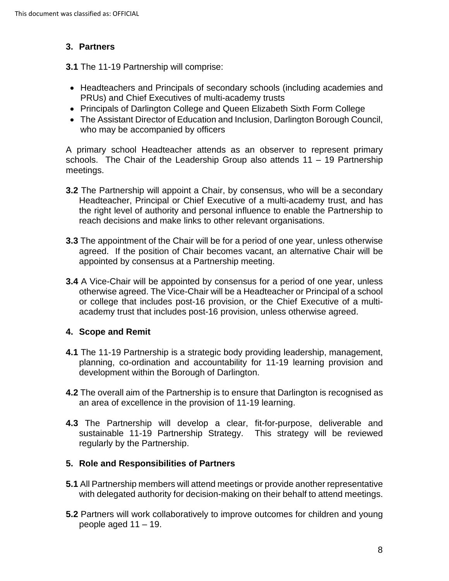#### **3. Partners**

**3.1** The 11-19 Partnership will comprise:

- Headteachers and Principals of secondary schools (including academies and PRUs) and Chief Executives of multi-academy trusts
- Principals of Darlington College and Queen Elizabeth Sixth Form College
- The Assistant Director of Education and Inclusion, Darlington Borough Council, who may be accompanied by officers

 schools. The Chair of the Leadership Group also attends 11 – 19 Partnership A primary school Headteacher attends as an observer to represent primary meetings.

- the right level of authority and personal influence to enable the Partnership to **3.2** The Partnership will appoint a Chair, by consensus, who will be a secondary Headteacher, Principal or Chief Executive of a multi-academy trust, and has reach decisions and make links to other relevant organisations.
- **3.3** The appointment of the Chair will be for a period of one year, unless otherwise agreed. If the position of Chair becomes vacant, an alternative Chair will be appointed by consensus at a Partnership meeting.
- academy trust that includes post-16 provision, unless otherwise agreed. **3.4** A Vice-Chair will be appointed by consensus for a period of one year, unless otherwise agreed. The Vice-Chair will be a Headteacher or Principal of a school or college that includes post-16 provision, or the Chief Executive of a multi-

#### **4. Scope and Remit**

- development within the Borough of Darlington. **4.1** The 11-19 Partnership is a strategic body providing leadership, management, planning, co-ordination and accountability for 11-19 learning provision and
- **4.2** The overall aim of the Partnership is to ensure that Darlington is recognised as an area of excellence in the provision of 11-19 learning.
- sustainable 11-19 Partnership Strategy. This strategy will be reviewed **4.3** The Partnership will develop a clear, fit-for-purpose, deliverable and regularly by the Partnership.

#### **5. Role and Responsibilities of Partners**

- **5.1** All Partnership members will attend meetings or provide another representative with delegated authority for decision-making on their behalf to attend meetings.
- people aged 11 19. **5.2** Partners will work collaboratively to improve outcomes for children and young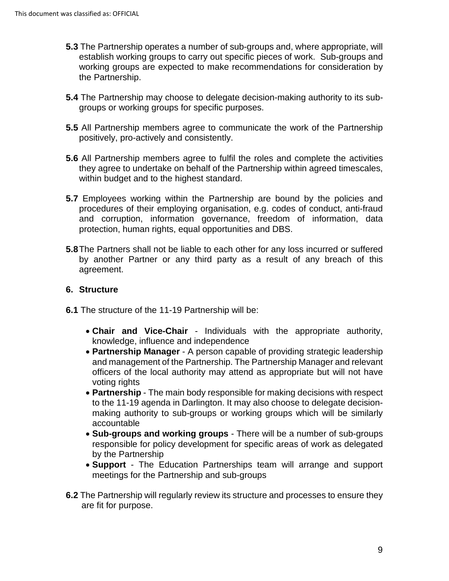- **5.3** The Partnership operates a number of sub-groups and, where appropriate, will establish working groups to carry out specific pieces of work. Sub-groups and working groups are expected to make recommendations for consideration by the Partnership.
- **5.4** The Partnership may choose to delegate decision-making authority to its subgroups or working groups for specific purposes.
- **5.5** All Partnership members agree to communicate the work of the Partnership positively, pro-actively and consistently.
- **5.6** All Partnership members agree to fulfil the roles and complete the activities they agree to undertake on behalf of the Partnership within agreed timescales, within budget and to the highest standard.
- procedures of their employing organisation, e.g. codes of conduct, anti-fraud and corruption, information governance, freedom of information, data **5.7** Employees working within the Partnership are bound by the policies and protection, human rights, equal opportunities and DBS.
- by another Partner or any third party as a result of any breach of this **5.8**The Partners shall not be liable to each other for any loss incurred or suffered agreement.

#### **6. Structure**

- **6.1** The structure of the 11-19 Partnership will be:
	- • **Chair and Vice-Chair**  Individuals with the appropriate authority, knowledge, influence and independence
	- • **Partnership Manager**  A person capable of providing strategic leadership and management of the Partnership. The Partnership Manager and relevant officers of the local authority may attend as appropriate but will not have voting rights
	- • **Partnership**  The main body responsible for making decisions with respect to the 11-19 agenda in Darlington. It may also choose to delegate decisionmaking authority to sub-groups or working groups which will be similarly accountable
	- • **Sub-groups and working groups**  There will be a number of sub-groups responsible for policy development for specific areas of work as delegated by the Partnership
	- • **Support**  The Education Partnerships team will arrange and support meetings for the Partnership and sub-groups
- **6.2** The Partnership will regularly review its structure and processes to ensure they are fit for purpose.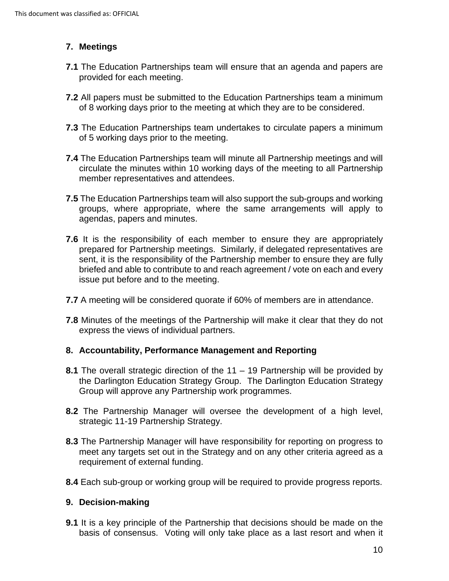#### **7. Meetings**

- **7.1** The Education Partnerships team will ensure that an agenda and papers are provided for each meeting.
- **7.2** All papers must be submitted to the Education Partnerships team a minimum of 8 working days prior to the meeting at which they are to be considered.
- **7.3** The Education Partnerships team undertakes to circulate papers a minimum of 5 working days prior to the meeting.
- **7.4** The Education Partnerships team will minute all Partnership meetings and will circulate the minutes within 10 working days of the meeting to all Partnership member representatives and attendees.
- **7.5** The Education Partnerships team will also support the sub-groups and working groups, where appropriate, where the same arrangements will apply to agendas, papers and minutes.
- prepared for Partnership meetings. Similarly, if delegated representatives are **7.6** It is the responsibility of each member to ensure they are appropriately sent, it is the responsibility of the Partnership member to ensure they are fully briefed and able to contribute to and reach agreement / vote on each and every issue put before and to the meeting.
- **7.7** A meeting will be considered quorate if 60% of members are in attendance.
- **7.8** Minutes of the meetings of the Partnership will make it clear that they do not express the views of individual partners.

#### **8. Accountability, Performance Management and Reporting**

- **8.1** The overall strategic direction of the 11 19 Partnership will be provided by the Darlington Education Strategy Group. The Darlington Education Strategy Group will approve any Partnership work programmes.
- strategic 11-19 Partnership Strategy. **8.2** The Partnership Manager will oversee the development of a high level,
- meet any targets set out in the Strategy and on any other criteria agreed as a **8.3** The Partnership Manager will have responsibility for reporting on progress to requirement of external funding.
- **8.4** Each sub-group or working group will be required to provide progress reports.

#### **9. Decision-making**

 basis of consensus. Voting will only take place as a last resort and when it **9.1** It is a key principle of the Partnership that decisions should be made on the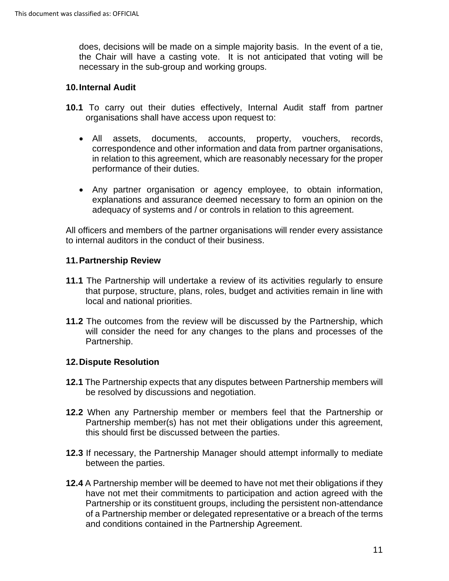the Chair will have a casting vote. It is not anticipated that voting will be does, decisions will be made on a simple majority basis. In the event of a tie, necessary in the sub-group and working groups.

#### **10.Internal Audit**

- **10.1** To carry out their duties effectively, Internal Audit staff from partner organisations shall have access upon request to:
	- $\bullet$  All assets, documents, accounts, property, vouchers, records, correspondence and other information and data from partner organisations, in relation to this agreement, which are reasonably necessary for the proper performance of their duties.
	- • Any partner organisation or agency employee, to obtain information, explanations and assurance deemed necessary to form an opinion on the adequacy of systems and / or controls in relation to this agreement.

All officers and members of the partner organisations will render every assistance to internal auditors in the conduct of their business.

#### **11.Partnership Review**

- **11.1** The Partnership will undertake a review of its activities regularly to ensure that purpose, structure, plans, roles, budget and activities remain in line with local and national priorities.
- **11.2** The outcomes from the review will be discussed by the Partnership, which will consider the need for any changes to the plans and processes of the Partnership.

#### **12.Dispute Resolution**

- **12.1** The Partnership expects that any disputes between Partnership members will be resolved by discussions and negotiation.
- **12.2** When any Partnership member or members feel that the Partnership or Partnership member(s) has not met their obligations under this agreement, this should first be discussed between the parties.
- between the parties. **12.3** If necessary, the Partnership Manager should attempt informally to mediate
- of a Partnership member or delegated representative or a breach of the terms **12.4** A Partnership member will be deemed to have not met their obligations if they have not met their commitments to participation and action agreed with the Partnership or its constituent groups, including the persistent non-attendance and conditions contained in the Partnership Agreement.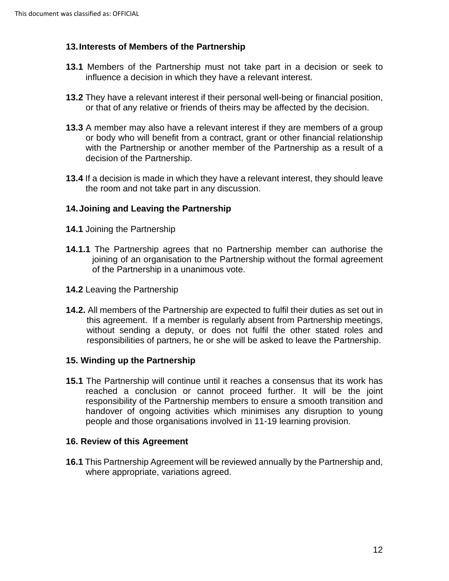#### **13.Interests of Members of the Partnership**

- **13.1** Members of the Partnership must not take part in a decision or seek to influence a decision in which they have a relevant interest.
- **13.2** They have a relevant interest if their personal well-being or financial position, or that of any relative or friends of theirs may be affected by the decision.
- **13.3** A member may also have a relevant interest if they are members of a group or body who will benefit from a contract, grant or other financial relationship with the Partnership or another member of the Partnership as a result of a decision of the Partnership.
- **13.4** If a decision is made in which they have a relevant interest, they should leave the room and not take part in any discussion.

#### **14.Joining and Leaving the Partnership**

- **14.1** Joining the Partnership
- joining of an organisation to the Partnership without the formal agreement **14.1.1** The Partnership agrees that no Partnership member can authorise the of the Partnership in a unanimous vote.
- **14.2** Leaving the Partnership
- this agreement. If a member is regularly absent from Partnership meetings, **14.2.** All members of the Partnership are expected to fulfil their duties as set out in without sending a deputy, or does not fulfil the other stated roles and responsibilities of partners, he or she will be asked to leave the Partnership.

#### **15. Winding up the Partnership**

 responsibility of the Partnership members to ensure a smooth transition and **15.1** The Partnership will continue until it reaches a consensus that its work has reached a conclusion or cannot proceed further. It will be the joint handover of ongoing activities which minimises any disruption to young people and those organisations involved in 11-19 learning provision.

#### **16. Review of this Agreement**

**16.1** This Partnership Agreement will be reviewed annually by the Partnership and, where appropriate, variations agreed.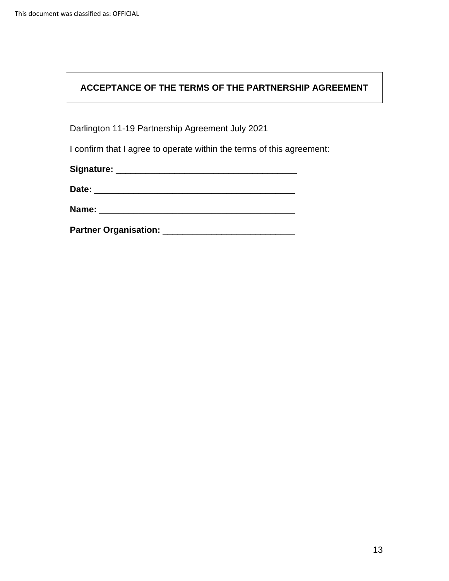### **ACCEPTANCE OF THE TERMS OF THE PARTNERSHIP AGREEMENT**

Darlington 11-19 Partnership Agreement July 2021

I confirm that I agree to operate within the terms of this agreement:

| Signature: |  |
|------------|--|
| Date:      |  |
| Name:      |  |

**Partner Organisation:** \_\_\_\_\_\_\_\_\_\_\_\_\_\_\_\_\_\_\_\_\_\_\_\_\_\_\_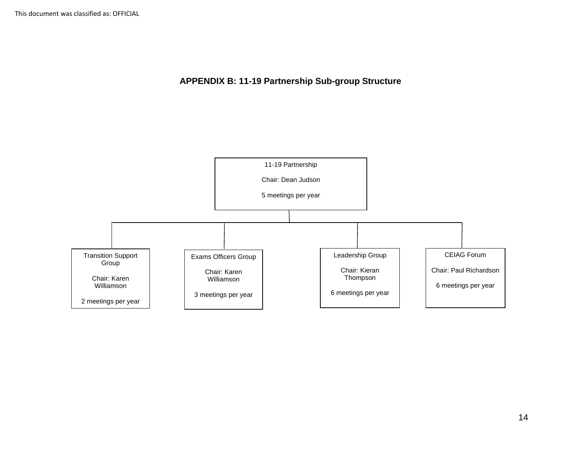**APPENDIX B: 11-19 Partnership Sub-group Structure**